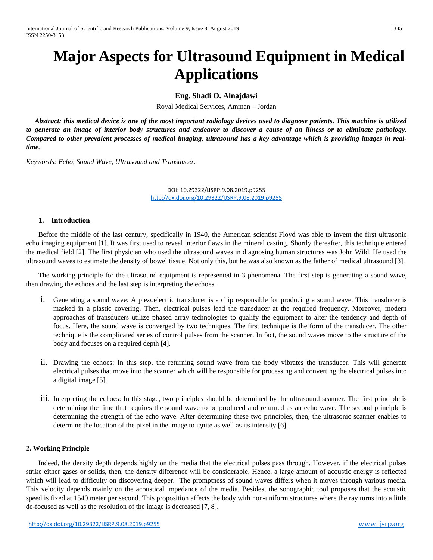# **Major Aspects for Ultrasound Equipment in Medical Applications**

# **Eng. Shadi O. Alnajdawi**

Royal Medical Services, Amman – Jordan

 *Abstract: this medical device is one of the most important radiology devices used to diagnose patients. This machine is utilized to generate an image of interior body structures and endeavor to discover a cause of an illness or to eliminate pathology. Compared to other prevalent processes of medical imaging, ultrasound has a key advantage which is providing images in realtime.*

*Keywords: Echo, Sound Wave, Ultrasound and Transducer.*

DOI: 10.29322/IJSRP.9.08.2019.p9255 <http://dx.doi.org/10.29322/IJSRP.9.08.2019.p9255>

#### **1. Introduction**

 Before the middle of the last century, specifically in 1940, the American scientist Floyd was able to invent the first ultrasonic echo imaging equipment [1]. It was first used to reveal interior flaws in the mineral casting. Shortly thereafter, this technique entered the medical field [2]. The first physician who used the ultrasound waves in diagnosing human structures was John Wild. He used the ultrasound waves to estimate the density of bowel tissue. Not only this, but he was also known as the father of medical ultrasound [3].

 The working principle for the ultrasound equipment is represented in 3 phenomena. The first step is generating a sound wave, then drawing the echoes and the last step is interpreting the echoes.

- i. Generating a sound wave: A piezoelectric transducer is a chip responsible for producing a sound wave. This transducer is masked in a plastic covering. Then, electrical pulses lead the transducer at the required frequency. Moreover, modern approaches of transducers utilize phased array technologies to qualify the equipment to alter the tendency and depth of focus. Here, the sound wave is converged by two techniques. The first technique is the form of the transducer. The other technique is the complicated series of control pulses from the scanner. In fact, the sound waves move to the structure of the body and focuses on a required depth [4].
- ii. Drawing the echoes: In this step, the returning sound wave from the body vibrates the transducer. This will generate electrical pulses that move into the scanner which will be responsible for processing and converting the electrical pulses into a digital image [5].
- iii. Interpreting the echoes: In this stage, two principles should be determined by the ultrasound scanner. The first principle is determining the time that requires the sound wave to be produced and returned as an echo wave. The second principle is determining the strength of the echo wave. After determining these two principles, then, the ultrasonic scanner enables to determine the location of the pixel in the image to ignite as well as its intensity [6].

## **2. Working Principle**

 Indeed, the density depth depends highly on the media that the electrical pulses pass through. However, if the electrical pulses strike either gases or solids, then, the density difference will be considerable. Hence, a large amount of acoustic energy is reflected which will lead to difficulty on discovering deeper. The promptness of sound waves differs when it moves through various media. This velocity depends mainly on the acoustical impedance of the media. Besides, the sonographic tool proposes that the acoustic speed is fixed at 1540 meter per second. This proposition affects the body with non-uniform structures where the ray turns into a little de-focused as well as the resolution of the image is decreased [7, 8].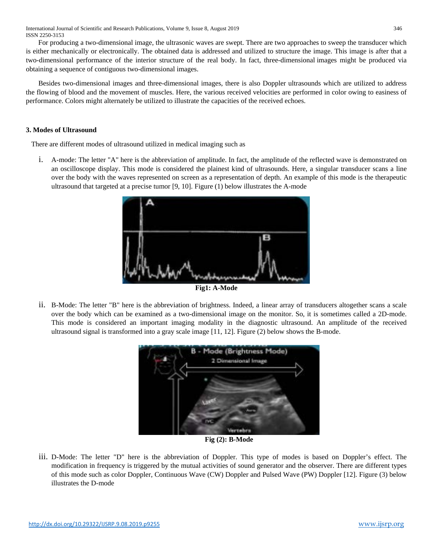For producing a two-dimensional image, the ultrasonic waves are swept. There are two approaches to sweep the transducer which is either mechanically or electronically. The obtained data is addressed and utilized to structure the image. This image is after that a two-dimensional performance of the interior structure of the real body. In fact, three-dimensional images might be produced via obtaining a sequence of contiguous two-dimensional images.

 Besides two-dimensional images and three-dimensional images, there is also Doppler ultrasounds which are utilized to address the flowing of blood and the movement of muscles. Here, the various received velocities are performed in color owing to easiness of performance. Colors might alternately be utilized to illustrate the capacities of the received echoes.

# **3. Modes of Ultrasound**

There are different modes of ultrasound utilized in medical imaging such as

i. A-mode: The letter "A" here is the abbreviation of amplitude. In fact, the amplitude of the reflected wave is demonstrated on an oscilloscope display. This mode is considered the plainest kind of ultrasounds. Here, a singular transducer scans a line over the body with the waves represented on screen as a representation of depth. An example of this mode is the therapeutic ultrasound that targeted at a precise tumor [9, 10]. Figure (1) below illustrates the A-mode



ii. B-Mode: The letter "B" here is the abbreviation of brightness. Indeed, a linear array of transducers altogether scans a scale over the body which can be examined as a two-dimensional image on the monitor. So, it is sometimes called a 2D-mode. This mode is considered an important imaging modality in the diagnostic ultrasound. An amplitude of the received ultrasound signal is transformed into a gray scale image [11, 12]. Figure (2) below shows the B-mode.



**Fig (2): B-Mode**

iii. D-Mode: The letter "D" here is the abbreviation of Doppler. This type of modes is based on Doppler's effect. The modification in frequency is triggered by the mutual activities of sound generator and the observer. There are different types of this mode such as color Doppler, Continuous Wave (CW) Doppler and Pulsed Wave (PW) Doppler [12]. Figure (3) below illustrates the D-mode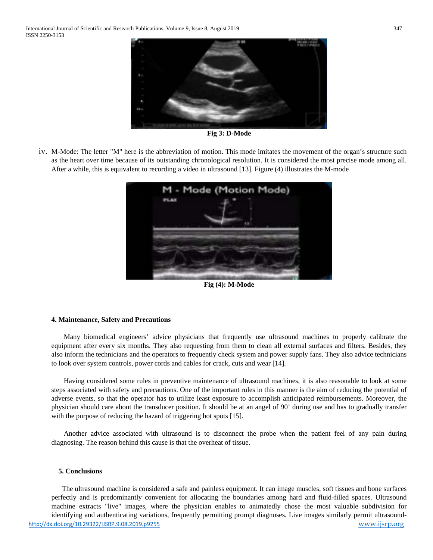

**Fig 3: D-Mode**

iv. M-Mode: The letter "M" here is the abbreviation of motion. This mode imitates the movement of the organ's structure such as the heart over time because of its outstanding chronological resolution. It is considered the most precise mode among all. After a while, this is equivalent to recording a video in ultrasound [13]. Figure (4) illustrates the M-mode



**Fig (4): M-Mode**

#### **4. Maintenance, Safety and Precautions**

Many biomedical engineers' advice physicians that frequently use ultrasound machines to properly calibrate the equipment after every six months. They also requesting from them to clean all external surfaces and filters. Besides, they also inform the technicians and the operators to frequently check system and power supply fans. They also advice technicians to look over system controls, power cords and cables for crack, cuts and wear [14].

 Having considered some rules in preventive maintenance of ultrasound machines, it is also reasonable to look at some steps associated with safety and precautions. One of the important rules in this manner is the aim of reducing the potential of adverse events, so that the operator has to utilize least exposure to accomplish anticipated reimbursements. Moreover, the physician should care about the transducer position. It should be at an angel of 90' during use and has to gradually transfer with the purpose of reducing the hazard of triggering hot spots [15].

 Another advice associated with ultrasound is to disconnect the probe when the patient feel of any pain during diagnosing. The reason behind this cause is that the overheat of tissue.

#### **5. Conclusions**

<http://dx.doi.org/10.29322/IJSRP.9.08.2019.p9255> [www.ijsrp.org](http://ijsrp.org/) The ultrasound machine is considered a safe and painless equipment. It can image muscles, soft tissues and bone surfaces perfectly and is predominantly convenient for allocating the boundaries among hard and fluid-filled spaces. Ultrasound machine extracts "live" images, where the physician enables to animatedly chose the most valuable subdivision for identifying and authenticating variations, frequently permitting prompt diagnoses. Live images similarly permit ultrasound